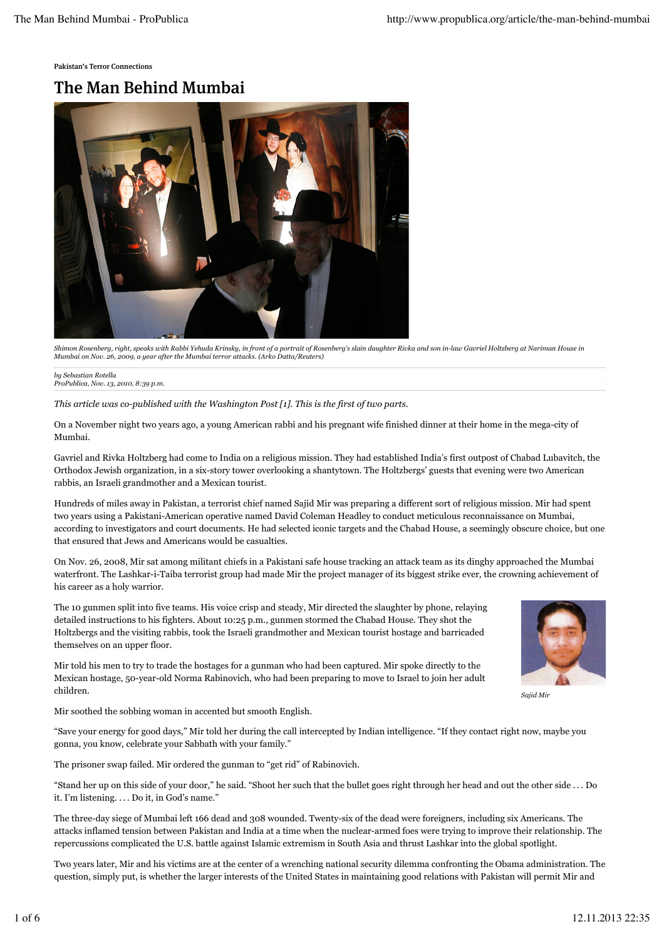Pakistan's Terror Connections

# The Man Behind Mumbai



*Shimon Rosenberg, right, speaks with Rabbi Yehuda Krinsky, in front of a portrait of Rosenberg's slain daughter Rivka and son in-law Gavriel Holtzberg at Nariman House in Mumbai on Nov. 26, 2009, a year after the Mumbai terror attacks. (Arko Datta/Reuters)*

*by Sebastian Rotella ProPublica, Nov. 13, 2010, 8:39 p.m.*

*This article was co-published with the Washington Post [1]. This is the first of two parts.*

On a November night two years ago, a young American rabbi and his pregnant wife finished dinner at their home in the mega-city of Mumbai.

Gavriel and Rivka Holtzberg had come to India on a religious mission. They had established India's first outpost of Chabad Lubavitch, the Orthodox Jewish organization, in a six-story tower overlooking a shantytown. The Holtzbergs' guests that evening were two American rabbis, an Israeli grandmother and a Mexican tourist.

Hundreds of miles away in Pakistan, a terrorist chief named Sajid Mir was preparing a different sort of religious mission. Mir had spent two years using a Pakistani-American operative named David Coleman Headley to conduct meticulous reconnaissance on Mumbai, according to investigators and court documents. He had selected iconic targets and the Chabad House, a seemingly obscure choice, but one that ensured that Jews and Americans would be casualties.

On Nov. 26, 2008, Mir sat among militant chiefs in a Pakistani safe house tracking an attack team as its dinghy approached the Mumbai waterfront. The Lashkar-i-Taiba terrorist group had made Mir the project manager of its biggest strike ever, the crowning achievement of his career as a holy warrior.

The 10 gunmen split into five teams. His voice crisp and steady, Mir directed the slaughter by phone, relaying detailed instructions to his fighters. About 10:25 p.m., gunmen stormed the Chabad House. They shot the Holtzbergs and the visiting rabbis, took the Israeli grandmother and Mexican tourist hostage and barricaded themselves on an upper floor.

Mir told his men to try to trade the hostages for a gunman who had been captured. Mir spoke directly to the Mexican hostage, 50-year-old Norma Rabinovich, who had been preparing to move to Israel to join her adult children.



*Sajid Mir*

Mir soothed the sobbing woman in accented but smooth English.

"Save your energy for good days," Mir told her during the call intercepted by Indian intelligence. "If they contact right now, maybe you gonna, you know, celebrate your Sabbath with your family."

The prisoner swap failed. Mir ordered the gunman to "get rid" of Rabinovich.

"Stand her up on this side of your door," he said. "Shoot her such that the bullet goes right through her head and out the other side . . . Do it. I'm listening. . . . Do it, in God's name."

The three-day siege of Mumbai left 166 dead and 308 wounded. Twenty-six of the dead were foreigners, including six Americans. The attacks inflamed tension between Pakistan and India at a time when the nuclear-armed foes were trying to improve their relationship. The repercussions complicated the U.S. battle against Islamic extremism in South Asia and thrust Lashkar into the global spotlight.

Two years later, Mir and his victims are at the center of a wrenching national security dilemma confronting the Obama administration. The question, simply put, is whether the larger interests of the United States in maintaining good relations with Pakistan will permit Mir and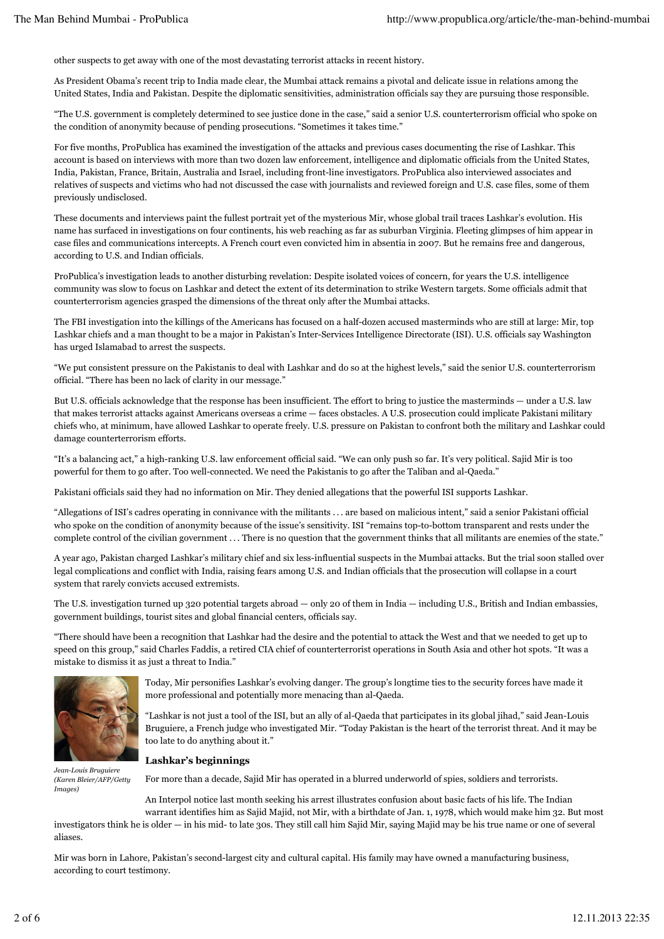other suspects to get away with one of the most devastating terrorist attacks in recent history.

As President Obama's recent trip to India made clear, the Mumbai attack remains a pivotal and delicate issue in relations among the United States, India and Pakistan. Despite the diplomatic sensitivities, administration officials say they are pursuing those responsible.

"The U.S. government is completely determined to see justice done in the case," said a senior U.S. counterterrorism official who spoke on the condition of anonymity because of pending prosecutions. "Sometimes it takes time."

For five months, ProPublica has examined the investigation of the attacks and previous cases documenting the rise of Lashkar. This account is based on interviews with more than two dozen law enforcement, intelligence and diplomatic officials from the United States, India, Pakistan, France, Britain, Australia and Israel, including front-line investigators. ProPublica also interviewed associates and relatives of suspects and victims who had not discussed the case with journalists and reviewed foreign and U.S. case files, some of them previously undisclosed.

These documents and interviews paint the fullest portrait yet of the mysterious Mir, whose global trail traces Lashkar's evolution. His name has surfaced in investigations on four continents, his web reaching as far as suburban Virginia. Fleeting glimpses of him appear in case files and communications intercepts. A French court even convicted him in absentia in 2007. But he remains free and dangerous, according to U.S. and Indian officials.

ProPublica's investigation leads to another disturbing revelation: Despite isolated voices of concern, for years the U.S. intelligence community was slow to focus on Lashkar and detect the extent of its determination to strike Western targets. Some officials admit that counterterrorism agencies grasped the dimensions of the threat only after the Mumbai attacks.

The FBI investigation into the killings of the Americans has focused on a half-dozen accused masterminds who are still at large: Mir, top Lashkar chiefs and a man thought to be a major in Pakistan's Inter-Services Intelligence Directorate (ISI). U.S. officials say Washington has urged Islamabad to arrest the suspects.

"We put consistent pressure on the Pakistanis to deal with Lashkar and do so at the highest levels," said the senior U.S. counterterrorism official. "There has been no lack of clarity in our message."

But U.S. officials acknowledge that the response has been insufficient. The effort to bring to justice the masterminds — under a U.S. law that makes terrorist attacks against Americans overseas a crime — faces obstacles. A U.S. prosecution could implicate Pakistani military chiefs who, at minimum, have allowed Lashkar to operate freely. U.S. pressure on Pakistan to confront both the military and Lashkar could damage counterterrorism efforts.

"It's a balancing act," a high-ranking U.S. law enforcement official said. "We can only push so far. It's very political. Sajid Mir is too powerful for them to go after. Too well-connected. We need the Pakistanis to go after the Taliban and al-Qaeda."

Pakistani officials said they had no information on Mir. They denied allegations that the powerful ISI supports Lashkar.

"Allegations of ISI's cadres operating in connivance with the militants . . . are based on malicious intent," said a senior Pakistani official who spoke on the condition of anonymity because of the issue's sensitivity. ISI "remains top-to-bottom transparent and rests under the complete control of the civilian government . . . There is no question that the government thinks that all militants are enemies of the state."

A year ago, Pakistan charged Lashkar's military chief and six less-influential suspects in the Mumbai attacks. But the trial soon stalled over legal complications and conflict with India, raising fears among U.S. and Indian officials that the prosecution will collapse in a court system that rarely convicts accused extremists.

The U.S. investigation turned up 320 potential targets abroad — only 20 of them in India — including U.S., British and Indian embassies, government buildings, tourist sites and global financial centers, officials say.

"There should have been a recognition that Lashkar had the desire and the potential to attack the West and that we needed to get up to speed on this group," said Charles Faddis, a retired CIA chief of counterterrorist operations in South Asia and other hot spots. "It was a mistake to dismiss it as just a threat to India."



*Jean-Louis Bruguiere (Karen Bleier/AFP/Getty Images)*

Today, Mir personifies Lashkar's evolving danger. The group's longtime ties to the security forces have made it more professional and potentially more menacing than al-Qaeda.

"Lashkar is not just a tool of the ISI, but an ally of al-Qaeda that participates in its global jihad," said Jean-Louis Bruguiere, a French judge who investigated Mir. "Today Pakistan is the heart of the terrorist threat. And it may be too late to do anything about it."

#### **Lashkar's beginnings**

For more than a decade, Sajid Mir has operated in a blurred underworld of spies, soldiers and terrorists.

An Interpol notice last month seeking his arrest illustrates confusion about basic facts of his life. The Indian warrant identifies him as Sajid Majid, not Mir, with a birthdate of Jan. 1, 1978, which would make him 32. But most

investigators think he is older — in his mid- to late 30s. They still call him Sajid Mir, saying Majid may be his true name or one of several aliases.

Mir was born in Lahore, Pakistan's second-largest city and cultural capital. His family may have owned a manufacturing business, according to court testimony.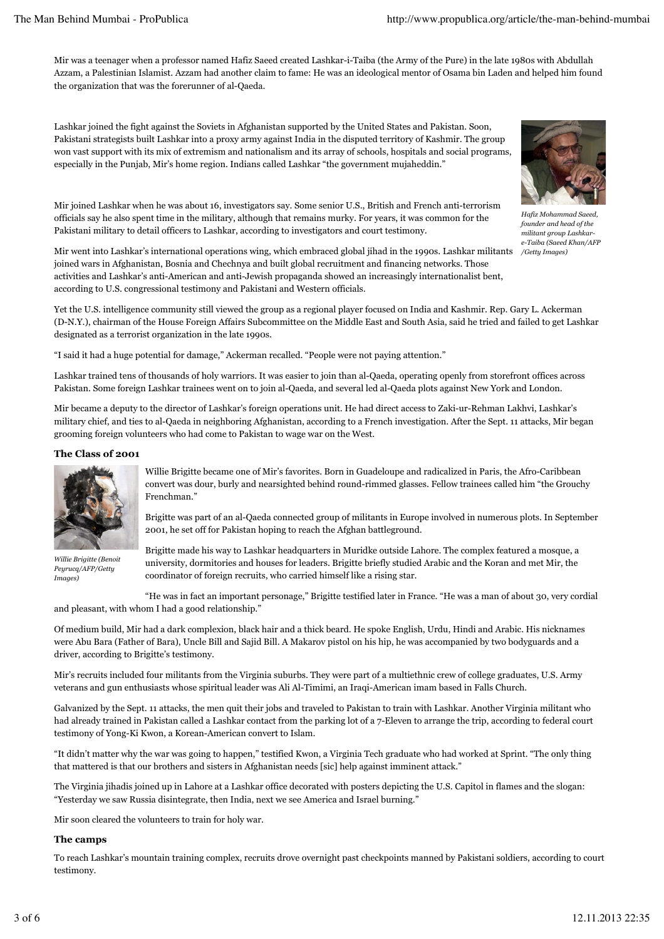Mir was a teenager when a professor named Hafiz Saeed created Lashkar-i-Taiba (the Army of the Pure) in the late 1980s with Abdullah Azzam, a Palestinian Islamist. Azzam had another claim to fame: He was an ideological mentor of Osama bin Laden and helped him found the organization that was the forerunner of al-Qaeda.

Lashkar joined the fight against the Soviets in Afghanistan supported by the United States and Pakistan. Soon, Pakistani strategists built Lashkar into a proxy army against India in the disputed territory of Kashmir. The group won vast support with its mix of extremism and nationalism and its array of schools, hospitals and social programs, especially in the Punjab, Mir's home region. Indians called Lashkar "the government mujaheddin."



*Hafiz Mohammad Saeed, founder and head of the militant group Lashkare-Taiba (Saeed Khan/AFP /Getty Images)*

Mir joined Lashkar when he was about 16, investigators say. Some senior U.S., British and French anti-terrorism officials say he also spent time in the military, although that remains murky. For years, it was common for the Pakistani military to detail officers to Lashkar, according to investigators and court testimony.

Mir went into Lashkar's international operations wing, which embraced global jihad in the 1990s. Lashkar militants joined wars in Afghanistan, Bosnia and Chechnya and built global recruitment and financing networks. Those activities and Lashkar's anti-American and anti-Jewish propaganda showed an increasingly internationalist bent, according to U.S. congressional testimony and Pakistani and Western officials.

Yet the U.S. intelligence community still viewed the group as a regional player focused on India and Kashmir. Rep. Gary L. Ackerman (D-N.Y.), chairman of the House Foreign Affairs Subcommittee on the Middle East and South Asia, said he tried and failed to get Lashkar designated as a terrorist organization in the late 1990s.

"I said it had a huge potential for damage," Ackerman recalled. "People were not paying attention."

Lashkar trained tens of thousands of holy warriors. It was easier to join than al-Qaeda, operating openly from storefront offices across Pakistan. Some foreign Lashkar trainees went on to join al-Qaeda, and several led al-Qaeda plots against New York and London.

Mir became a deputy to the director of Lashkar's foreign operations unit. He had direct access to Zaki-ur-Rehman Lakhvi, Lashkar's military chief, and ties to al-Qaeda in neighboring Afghanistan, according to a French investigation. After the Sept. 11 attacks, Mir began grooming foreign volunteers who had come to Pakistan to wage war on the West.

## **The Class of 2001**



*Willie Brigitte (Benoit Peyrucq/AFP/Getty Images)*

Willie Brigitte became one of Mir's favorites. Born in Guadeloupe and radicalized in Paris, the Afro-Caribbean convert was dour, burly and nearsighted behind round-rimmed glasses. Fellow trainees called him "the Grouchy Frenchman."

Brigitte was part of an al-Qaeda connected group of militants in Europe involved in numerous plots. In September 2001, he set off for Pakistan hoping to reach the Afghan battleground.

Brigitte made his way to Lashkar headquarters in Muridke outside Lahore. The complex featured a mosque, a university, dormitories and houses for leaders. Brigitte briefly studied Arabic and the Koran and met Mir, the coordinator of foreign recruits, who carried himself like a rising star.

"He was in fact an important personage," Brigitte testified later in France. "He was a man of about 30, very cordial and pleasant, with whom I had a good relationship."

Of medium build, Mir had a dark complexion, black hair and a thick beard. He spoke English, Urdu, Hindi and Arabic. His nicknames were Abu Bara (Father of Bara), Uncle Bill and Sajid Bill. A Makarov pistol on his hip, he was accompanied by two bodyguards and a driver, according to Brigitte's testimony.

Mir's recruits included four militants from the Virginia suburbs. They were part of a multiethnic crew of college graduates, U.S. Army veterans and gun enthusiasts whose spiritual leader was Ali Al-Timimi, an Iraqi-American imam based in Falls Church.

Galvanized by the Sept. 11 attacks, the men quit their jobs and traveled to Pakistan to train with Lashkar. Another Virginia militant who had already trained in Pakistan called a Lashkar contact from the parking lot of a 7-Eleven to arrange the trip, according to federal court testimony of Yong-Ki Kwon, a Korean-American convert to Islam.

"It didn't matter why the war was going to happen," testified Kwon, a Virginia Tech graduate who had worked at Sprint. "The only thing that mattered is that our brothers and sisters in Afghanistan needs [sic] help against imminent attack."

The Virginia jihadis joined up in Lahore at a Lashkar office decorated with posters depicting the U.S. Capitol in flames and the slogan: "Yesterday we saw Russia disintegrate, then India, next we see America and Israel burning."

Mir soon cleared the volunteers to train for holy war.

# **The camps**

To reach Lashkar's mountain training complex, recruits drove overnight past checkpoints manned by Pakistani soldiers, according to court testimony.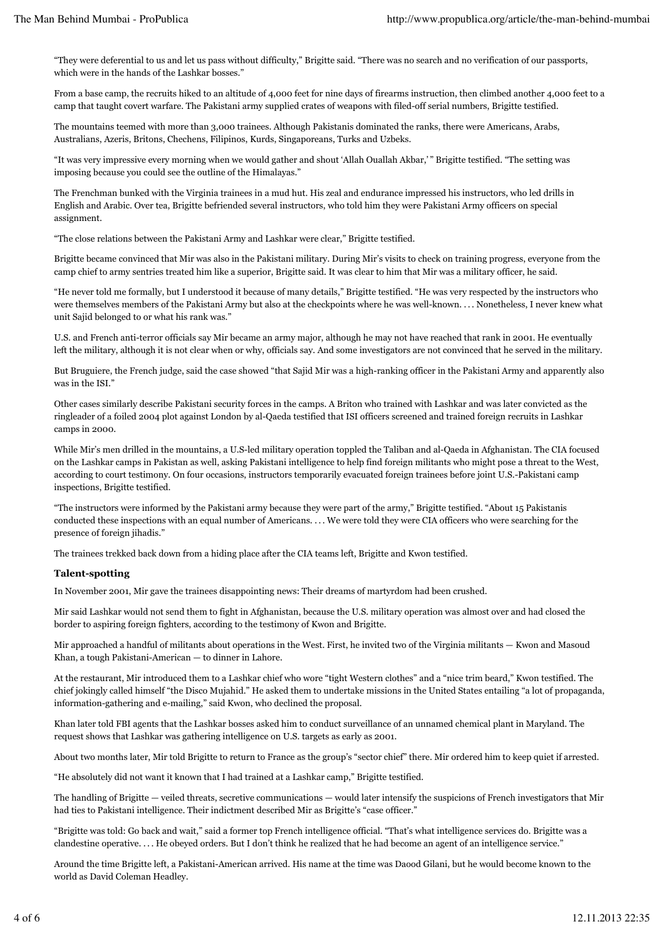"They were deferential to us and let us pass without difficulty," Brigitte said. "There was no search and no verification of our passports, which were in the hands of the Lashkar bosses."

From a base camp, the recruits hiked to an altitude of 4,000 feet for nine days of firearms instruction, then climbed another 4,000 feet to a camp that taught covert warfare. The Pakistani army supplied crates of weapons with filed-off serial numbers, Brigitte testified.

The mountains teemed with more than 3,000 trainees. Although Pakistanis dominated the ranks, there were Americans, Arabs, Australians, Azeris, Britons, Chechens, Filipinos, Kurds, Singaporeans, Turks and Uzbeks.

"It was very impressive every morning when we would gather and shout 'Allah Ouallah Akbar,' " Brigitte testified. "The setting was imposing because you could see the outline of the Himalayas."

The Frenchman bunked with the Virginia trainees in a mud hut. His zeal and endurance impressed his instructors, who led drills in English and Arabic. Over tea, Brigitte befriended several instructors, who told him they were Pakistani Army officers on special assignment.

"The close relations between the Pakistani Army and Lashkar were clear," Brigitte testified.

Brigitte became convinced that Mir was also in the Pakistani military. During Mir's visits to check on training progress, everyone from the camp chief to army sentries treated him like a superior, Brigitte said. It was clear to him that Mir was a military officer, he said.

"He never told me formally, but I understood it because of many details," Brigitte testified. "He was very respected by the instructors who were themselves members of the Pakistani Army but also at the checkpoints where he was well-known. . . . Nonetheless, I never knew what unit Sajid belonged to or what his rank was."

U.S. and French anti-terror officials say Mir became an army major, although he may not have reached that rank in 2001. He eventually left the military, although it is not clear when or why, officials say. And some investigators are not convinced that he served in the military.

But Bruguiere, the French judge, said the case showed "that Sajid Mir was a high-ranking officer in the Pakistani Army and apparently also was in the ISI."

Other cases similarly describe Pakistani security forces in the camps. A Briton who trained with Lashkar and was later convicted as the ringleader of a foiled 2004 plot against London by al-Qaeda testified that ISI officers screened and trained foreign recruits in Lashkar camps in 2000.

While Mir's men drilled in the mountains, a U.S-led military operation toppled the Taliban and al-Qaeda in Afghanistan. The CIA focused on the Lashkar camps in Pakistan as well, asking Pakistani intelligence to help find foreign militants who might pose a threat to the West, according to court testimony. On four occasions, instructors temporarily evacuated foreign trainees before joint U.S.-Pakistani camp inspections, Brigitte testified.

"The instructors were informed by the Pakistani army because they were part of the army," Brigitte testified. "About 15 Pakistanis conducted these inspections with an equal number of Americans. . . . We were told they were CIA officers who were searching for the presence of foreign jihadis."

The trainees trekked back down from a hiding place after the CIA teams left, Brigitte and Kwon testified.

#### **Talent-spotting**

In November 2001, Mir gave the trainees disappointing news: Their dreams of martyrdom had been crushed.

Mir said Lashkar would not send them to fight in Afghanistan, because the U.S. military operation was almost over and had closed the border to aspiring foreign fighters, according to the testimony of Kwon and Brigitte.

Mir approached a handful of militants about operations in the West. First, he invited two of the Virginia militants — Kwon and Masoud Khan, a tough Pakistani-American — to dinner in Lahore.

At the restaurant, Mir introduced them to a Lashkar chief who wore "tight Western clothes" and a "nice trim beard," Kwon testified. The chief jokingly called himself "the Disco Mujahid." He asked them to undertake missions in the United States entailing "a lot of propaganda, information-gathering and e-mailing," said Kwon, who declined the proposal.

Khan later told FBI agents that the Lashkar bosses asked him to conduct surveillance of an unnamed chemical plant in Maryland. The request shows that Lashkar was gathering intelligence on U.S. targets as early as 2001.

About two months later, Mir told Brigitte to return to France as the group's "sector chief" there. Mir ordered him to keep quiet if arrested.

"He absolutely did not want it known that I had trained at a Lashkar camp," Brigitte testified.

The handling of Brigitte — veiled threats, secretive communications — would later intensify the suspicions of French investigators that Mir had ties to Pakistani intelligence. Their indictment described Mir as Brigitte's "case officer."

"Brigitte was told: Go back and wait," said a former top French intelligence official. "That's what intelligence services do. Brigitte was a clandestine operative. . . . He obeyed orders. But I don't think he realized that he had become an agent of an intelligence service."

Around the time Brigitte left, a Pakistani-American arrived. His name at the time was Daood Gilani, but he would become known to the world as David Coleman Headley.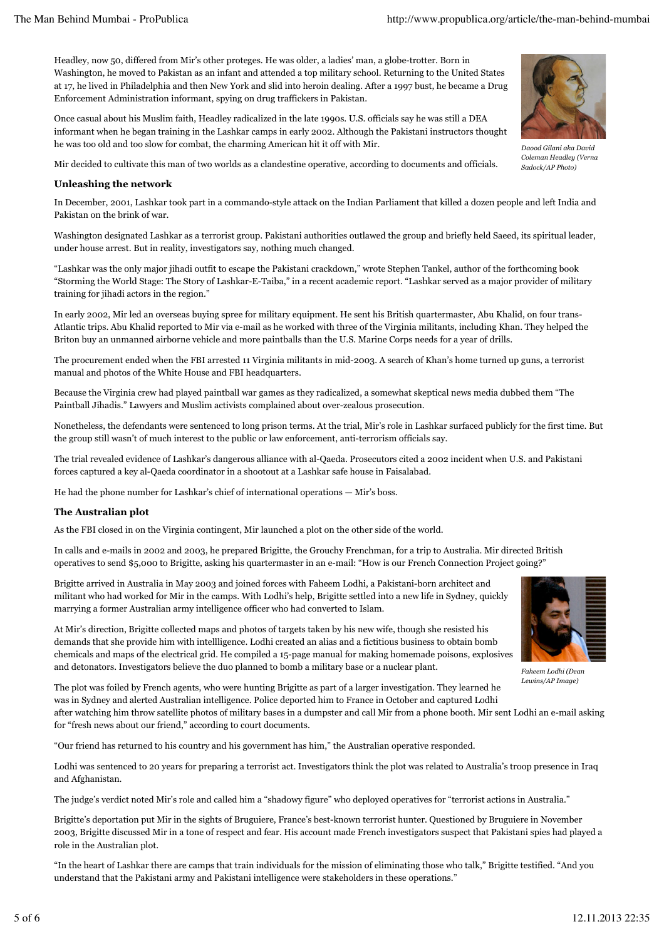Headley, now 50, differed from Mir's other proteges. He was older, a ladies' man, a globe-trotter. Born in Washington, he moved to Pakistan as an infant and attended a top military school. Returning to the United States at 17, he lived in Philadelphia and then New York and slid into heroin dealing. After a 1997 bust, he became a Drug Enforcement Administration informant, spying on drug traffickers in Pakistan.

Once casual about his Muslim faith, Headley radicalized in the late 1990s. U.S. officials say he was still a DEA informant when he began training in the Lashkar camps in early 2002. Although the Pakistani instructors thought he was too old and too slow for combat, the charming American hit it off with Mir.

Mir decided to cultivate this man of two worlds as a clandestine operative, according to documents and officials.

## **Unleashing the network**

In December, 2001, Lashkar took part in a commando-style attack on the Indian Parliament that killed a dozen people and left India and Pakistan on the brink of war.

Washington designated Lashkar as a terrorist group. Pakistani authorities outlawed the group and briefly held Saeed, its spiritual leader, under house arrest. But in reality, investigators say, nothing much changed.

"Lashkar was the only major jihadi outfit to escape the Pakistani crackdown," wrote Stephen Tankel, author of the forthcoming book "Storming the World Stage: The Story of Lashkar-E-Taiba," in a recent academic report. "Lashkar served as a major provider of military training for jihadi actors in the region."

In early 2002, Mir led an overseas buying spree for military equipment. He sent his British quartermaster, Abu Khalid, on four trans-Atlantic trips. Abu Khalid reported to Mir via e-mail as he worked with three of the Virginia militants, including Khan. They helped the Briton buy an unmanned airborne vehicle and more paintballs than the U.S. Marine Corps needs for a year of drills.

The procurement ended when the FBI arrested 11 Virginia militants in mid-2003. A search of Khan's home turned up guns, a terrorist manual and photos of the White House and FBI headquarters.

Because the Virginia crew had played paintball war games as they radicalized, a somewhat skeptical news media dubbed them "The Paintball Jihadis." Lawyers and Muslim activists complained about over-zealous prosecution.

Nonetheless, the defendants were sentenced to long prison terms. At the trial, Mir's role in Lashkar surfaced publicly for the first time. But the group still wasn't of much interest to the public or law enforcement, anti-terrorism officials say.

The trial revealed evidence of Lashkar's dangerous alliance with al-Qaeda. Prosecutors cited a 2002 incident when U.S. and Pakistani forces captured a key al-Qaeda coordinator in a shootout at a Lashkar safe house in Faisalabad.

He had the phone number for Lashkar's chief of international operations — Mir's boss.

#### **The Australian plot**

As the FBI closed in on the Virginia contingent, Mir launched a plot on the other side of the world.

In calls and e-mails in 2002 and 2003, he prepared Brigitte, the Grouchy Frenchman, for a trip to Australia. Mir directed British operatives to send \$5,000 to Brigitte, asking his quartermaster in an e-mail: "How is our French Connection Project going?"

Brigitte arrived in Australia in May 2003 and joined forces with Faheem Lodhi, a Pakistani-born architect and militant who had worked for Mir in the camps. With Lodhi's help, Brigitte settled into a new life in Sydney, quickly marrying a former Australian army intelligence officer who had converted to Islam.

At Mir's direction, Brigitte collected maps and photos of targets taken by his new wife, though she resisted his demands that she provide him with intellligence. Lodhi created an alias and a fictitious business to obtain bomb chemicals and maps of the electrical grid. He compiled a 15-page manual for making homemade poisons, explosives and detonators. Investigators believe the duo planned to bomb a military base or a nuclear plant.

The plot was foiled by French agents, who were hunting Brigitte as part of a larger investigation. They learned he was in Sydney and alerted Australian intelligence. Police deported him to France in October and captured Lodhi

after watching him throw satellite photos of military bases in a dumpster and call Mir from a phone booth. Mir sent Lodhi an e-mail asking for "fresh news about our friend," according to court documents.

"Our friend has returned to his country and his government has him," the Australian operative responded.

Lodhi was sentenced to 20 years for preparing a terrorist act. Investigators think the plot was related to Australia's troop presence in Iraq and Afghanistan.

The judge's verdict noted Mir's role and called him a "shadowy figure" who deployed operatives for "terrorist actions in Australia."

Brigitte's deportation put Mir in the sights of Bruguiere, France's best-known terrorist hunter. Questioned by Bruguiere in November 2003, Brigitte discussed Mir in a tone of respect and fear. His account made French investigators suspect that Pakistani spies had played a role in the Australian plot.

"In the heart of Lashkar there are camps that train individuals for the mission of eliminating those who talk," Brigitte testified. "And you understand that the Pakistani army and Pakistani intelligence were stakeholders in these operations."



*Faheem Lodhi (Dean Lewins/AP Image)*



*Coleman Headley (Verna Sadock/AP Photo)*